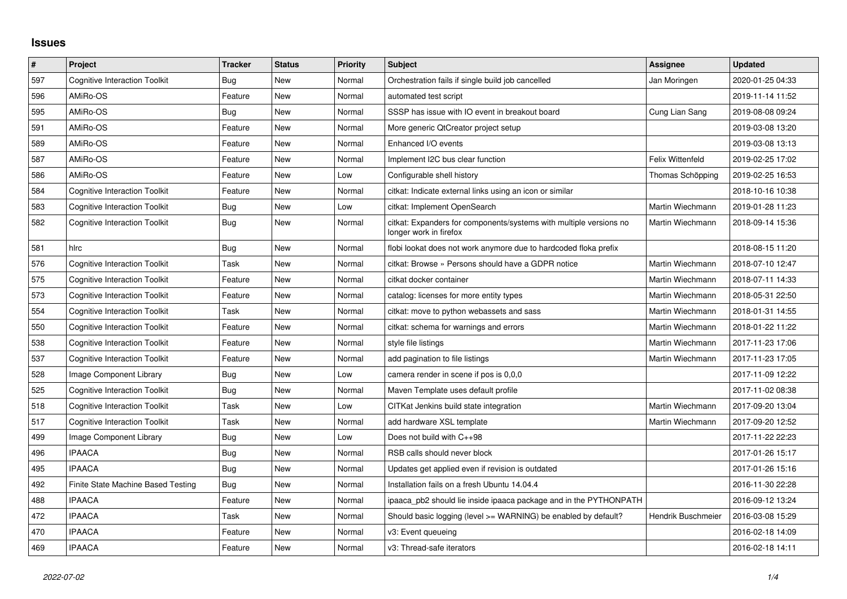## **Issues**

| $\#$ | Project                              | <b>Tracker</b> | <b>Status</b> | <b>Priority</b> | <b>Subject</b>                                                                               | Assignee           | <b>Updated</b>   |
|------|--------------------------------------|----------------|---------------|-----------------|----------------------------------------------------------------------------------------------|--------------------|------------------|
| 597  | <b>Cognitive Interaction Toolkit</b> | Bug            | <b>New</b>    | Normal          | Orchestration fails if single build job cancelled                                            | Jan Moringen       | 2020-01-25 04:33 |
| 596  | AMiRo-OS                             | Feature        | <b>New</b>    | Normal          | automated test script                                                                        |                    | 2019-11-14 11:52 |
| 595  | AMiRo-OS                             | Bug            | New           | Normal          | SSSP has issue with IO event in breakout board                                               | Cung Lian Sang     | 2019-08-08 09:24 |
| 591  | AMiRo-OS                             | Feature        | New           | Normal          | More generic QtCreator project setup                                                         |                    | 2019-03-08 13:20 |
| 589  | AMiRo-OS                             | Feature        | New           | Normal          | Enhanced I/O events                                                                          |                    | 2019-03-08 13:13 |
| 587  | AMiRo-OS                             | Feature        | New           | Normal          | Implement I2C bus clear function                                                             | Felix Wittenfeld   | 2019-02-25 17:02 |
| 586  | AMiRo-OS                             | Feature        | New           | Low             | Configurable shell history                                                                   | Thomas Schöpping   | 2019-02-25 16:53 |
| 584  | <b>Cognitive Interaction Toolkit</b> | Feature        | New           | Normal          | citkat: Indicate external links using an icon or similar                                     |                    | 2018-10-16 10:38 |
| 583  | <b>Cognitive Interaction Toolkit</b> | Bug            | <b>New</b>    | Low             | citkat: Implement OpenSearch                                                                 | Martin Wiechmann   | 2019-01-28 11:23 |
| 582  | <b>Cognitive Interaction Toolkit</b> | Bug            | New           | Normal          | citkat: Expanders for components/systems with multiple versions no<br>longer work in firefox | Martin Wiechmann   | 2018-09-14 15:36 |
| 581  | hlrc                                 | Bug            | <b>New</b>    | Normal          | flobi lookat does not work anymore due to hardcoded floka prefix                             |                    | 2018-08-15 11:20 |
| 576  | <b>Cognitive Interaction Toolkit</b> | Task           | New           | Normal          | citkat: Browse » Persons should have a GDPR notice                                           | Martin Wiechmann   | 2018-07-10 12:47 |
| 575  | <b>Cognitive Interaction Toolkit</b> | Feature        | <b>New</b>    | Normal          | citkat docker container                                                                      | Martin Wiechmann   | 2018-07-11 14:33 |
| 573  | <b>Cognitive Interaction Toolkit</b> | Feature        | New           | Normal          | catalog: licenses for more entity types                                                      | Martin Wiechmann   | 2018-05-31 22:50 |
| 554  | <b>Cognitive Interaction Toolkit</b> | Task           | New           | Normal          | citkat: move to python webassets and sass                                                    | Martin Wiechmann   | 2018-01-31 14:55 |
| 550  | <b>Cognitive Interaction Toolkit</b> | Feature        | <b>New</b>    | Normal          | citkat: schema for warnings and errors                                                       | Martin Wiechmann   | 2018-01-22 11:22 |
| 538  | <b>Cognitive Interaction Toolkit</b> | Feature        | New           | Normal          | style file listings                                                                          | Martin Wiechmann   | 2017-11-23 17:06 |
| 537  | <b>Cognitive Interaction Toolkit</b> | Feature        | New           | Normal          | add pagination to file listings                                                              | Martin Wiechmann   | 2017-11-23 17:05 |
| 528  | Image Component Library              | Bug            | New           | Low             | camera render in scene if pos is 0,0,0                                                       |                    | 2017-11-09 12:22 |
| 525  | <b>Cognitive Interaction Toolkit</b> | Bug            | New           | Normal          | Maven Template uses default profile                                                          |                    | 2017-11-02 08:38 |
| 518  | <b>Cognitive Interaction Toolkit</b> | Task           | <b>New</b>    | Low             | CITKat Jenkins build state integration                                                       | Martin Wiechmann   | 2017-09-20 13:04 |
| 517  | <b>Cognitive Interaction Toolkit</b> | Task           | <b>New</b>    | Normal          | add hardware XSL template                                                                    | Martin Wiechmann   | 2017-09-20 12:52 |
| 499  | Image Component Library              | Bug            | New           | Low             | Does not build with C++98                                                                    |                    | 2017-11-22 22:23 |
| 496  | <b>IPAACA</b>                        | Bug            | New           | Normal          | RSB calls should never block                                                                 |                    | 2017-01-26 15:17 |
| 495  | <b>IPAACA</b>                        | Bug            | New           | Normal          | Updates get applied even if revision is outdated                                             |                    | 2017-01-26 15:16 |
| 492  | Finite State Machine Based Testing   | Bug            | New           | Normal          | Installation fails on a fresh Ubuntu 14.04.4                                                 |                    | 2016-11-30 22:28 |
| 488  | <b>IPAACA</b>                        | Feature        | New           | Normal          | ipaaca_pb2 should lie inside ipaaca package and in the PYTHONPATH                            |                    | 2016-09-12 13:24 |
| 472  | <b>IPAACA</b>                        | Task           | New           | Normal          | Should basic logging (level >= WARNING) be enabled by default?                               | Hendrik Buschmeier | 2016-03-08 15:29 |
| 470  | <b>IPAACA</b>                        | Feature        | <b>New</b>    | Normal          | v3: Event queueing                                                                           |                    | 2016-02-18 14:09 |
| 469  | <b>IPAACA</b>                        | Feature        | New           | Normal          | v3: Thread-safe iterators                                                                    |                    | 2016-02-18 14:11 |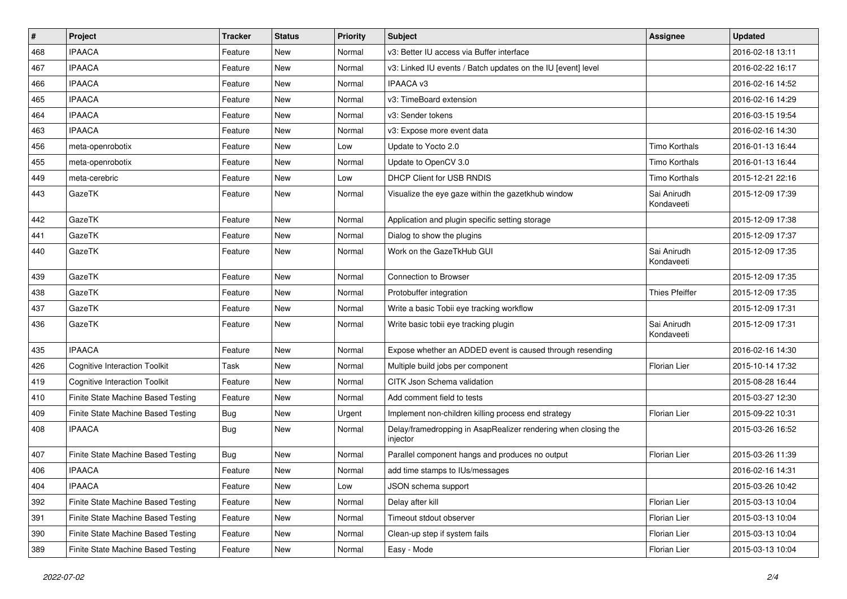| #   | Project                              | <b>Tracker</b> | <b>Status</b> | <b>Priority</b> | Subject                                                                    | Assignee                  | <b>Updated</b>   |
|-----|--------------------------------------|----------------|---------------|-----------------|----------------------------------------------------------------------------|---------------------------|------------------|
| 468 | <b>IPAACA</b>                        | Feature        | New           | Normal          | v3: Better IU access via Buffer interface                                  |                           | 2016-02-18 13:11 |
| 467 | <b>IPAACA</b>                        | Feature        | <b>New</b>    | Normal          | v3: Linked IU events / Batch updates on the IU [event] level               |                           | 2016-02-22 16:17 |
| 466 | <b>IPAACA</b>                        | Feature        | New           | Normal          | <b>IPAACA v3</b>                                                           |                           | 2016-02-16 14:52 |
| 465 | <b>IPAACA</b>                        | Feature        | <b>New</b>    | Normal          | v3: TimeBoard extension                                                    |                           | 2016-02-16 14:29 |
| 464 | <b>IPAACA</b>                        | Feature        | <b>New</b>    | Normal          | v3: Sender tokens                                                          |                           | 2016-03-15 19:54 |
| 463 | <b>IPAACA</b>                        | Feature        | New           | Normal          | v3: Expose more event data                                                 |                           | 2016-02-16 14:30 |
| 456 | meta-openrobotix                     | Feature        | <b>New</b>    | Low             | Update to Yocto 2.0                                                        | Timo Korthals             | 2016-01-13 16:44 |
| 455 | meta-openrobotix                     | Feature        | <b>New</b>    | Normal          | Update to OpenCV 3.0                                                       | Timo Korthals             | 2016-01-13 16:44 |
| 449 | meta-cerebric                        | Feature        | <b>New</b>    | Low             | DHCP Client for USB RNDIS                                                  | Timo Korthals             | 2015-12-21 22:16 |
| 443 | GazeTK                               | Feature        | <b>New</b>    | Normal          | Visualize the eye gaze within the gazetkhub window                         | Sai Anirudh<br>Kondaveeti | 2015-12-09 17:39 |
| 442 | GazeTK                               | Feature        | <b>New</b>    | Normal          | Application and plugin specific setting storage                            |                           | 2015-12-09 17:38 |
| 441 | GazeTK                               | Feature        | <b>New</b>    | Normal          | Dialog to show the plugins                                                 |                           | 2015-12-09 17:37 |
| 440 | GazeTK                               | Feature        | New           | Normal          | Work on the GazeTkHub GUI                                                  | Sai Anirudh<br>Kondaveeti | 2015-12-09 17:35 |
| 439 | GazeTK                               | Feature        | <b>New</b>    | Normal          | <b>Connection to Browser</b>                                               |                           | 2015-12-09 17:35 |
| 438 | GazeTK                               | Feature        | <b>New</b>    | Normal          | Protobuffer integration                                                    | <b>Thies Pfeiffer</b>     | 2015-12-09 17:35 |
| 437 | GazeTK                               | Feature        | <b>New</b>    | Normal          | Write a basic Tobii eye tracking workflow                                  |                           | 2015-12-09 17:31 |
| 436 | GazeTK                               | Feature        | New           | Normal          | Write basic tobii eye tracking plugin                                      | Sai Anirudh<br>Kondaveeti | 2015-12-09 17:31 |
| 435 | <b>IPAACA</b>                        | Feature        | <b>New</b>    | Normal          | Expose whether an ADDED event is caused through resending                  |                           | 2016-02-16 14:30 |
| 426 | <b>Cognitive Interaction Toolkit</b> | Task           | <b>New</b>    | Normal          | Multiple build jobs per component                                          | Florian Lier              | 2015-10-14 17:32 |
| 419 | <b>Cognitive Interaction Toolkit</b> | Feature        | <b>New</b>    | Normal          | CITK Json Schema validation                                                |                           | 2015-08-28 16:44 |
| 410 | Finite State Machine Based Testing   | Feature        | New           | Normal          | Add comment field to tests                                                 |                           | 2015-03-27 12:30 |
| 409 | Finite State Machine Based Testing   | Bug            | <b>New</b>    | Urgent          | Implement non-children killing process end strategy                        | <b>Florian Lier</b>       | 2015-09-22 10:31 |
| 408 | <b>IPAACA</b>                        | Bug            | <b>New</b>    | Normal          | Delay/framedropping in AsapRealizer rendering when closing the<br>injector |                           | 2015-03-26 16:52 |
| 407 | Finite State Machine Based Testing   | Bug            | <b>New</b>    | Normal          | Parallel component hangs and produces no output                            | Florian Lier              | 2015-03-26 11:39 |
| 406 | <b>IPAACA</b>                        | Feature        | <b>New</b>    | Normal          | add time stamps to IUs/messages                                            |                           | 2016-02-16 14:31 |
| 404 | <b>IPAACA</b>                        | Feature        | New           | Low             | JSON schema support                                                        |                           | 2015-03-26 10:42 |
| 392 | Finite State Machine Based Testing   | Feature        | New           | Normal          | Delay after kill                                                           | <b>Florian Lier</b>       | 2015-03-13 10:04 |
| 391 | Finite State Machine Based Testing   | Feature        | New           | Normal          | Timeout stdout observer                                                    | Florian Lier              | 2015-03-13 10:04 |
| 390 | Finite State Machine Based Testing   | Feature        | New           | Normal          | Clean-up step if system fails                                              | Florian Lier              | 2015-03-13 10:04 |
| 389 | Finite State Machine Based Testing   | Feature        | New           | Normal          | Easy - Mode                                                                | Florian Lier              | 2015-03-13 10:04 |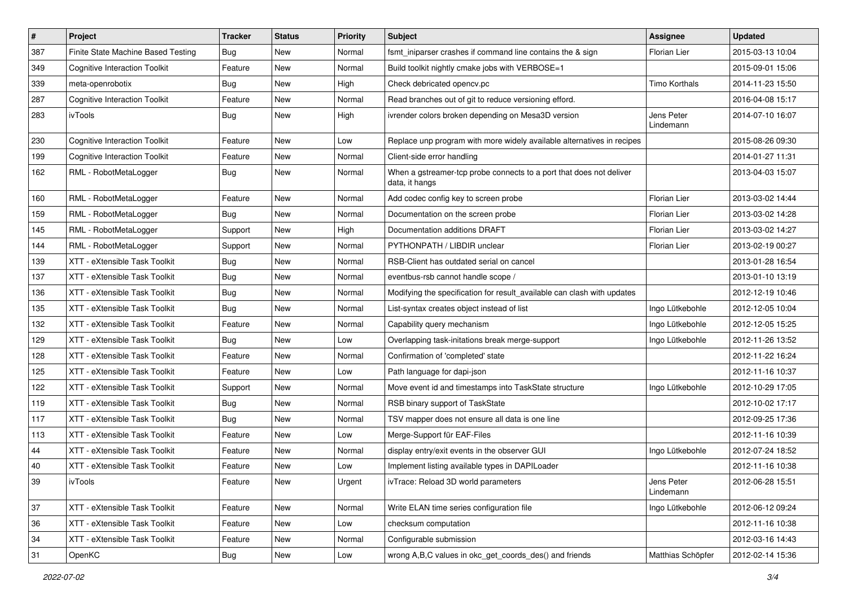| #   | Project                              | <b>Tracker</b> | <b>Status</b> | <b>Priority</b> | Subject                                                                               | Assignee                | <b>Updated</b>   |
|-----|--------------------------------------|----------------|---------------|-----------------|---------------------------------------------------------------------------------------|-------------------------|------------------|
| 387 | Finite State Machine Based Testing   | Bug            | New           | Normal          | fsmt_iniparser crashes if command line contains the & sign                            | Florian Lier            | 2015-03-13 10:04 |
| 349 | <b>Cognitive Interaction Toolkit</b> | Feature        | <b>New</b>    | Normal          | Build toolkit nightly cmake jobs with VERBOSE=1                                       |                         | 2015-09-01 15:06 |
| 339 | meta-openrobotix                     | Bug            | <b>New</b>    | High            | Check debricated opency.pc                                                            | <b>Timo Korthals</b>    | 2014-11-23 15:50 |
| 287 | <b>Cognitive Interaction Toolkit</b> | Feature        | <b>New</b>    | Normal          | Read branches out of git to reduce versioning efford.                                 |                         | 2016-04-08 15:17 |
| 283 | ivTools                              | <b>Bug</b>     | New           | High            | ivrender colors broken depending on Mesa3D version                                    | Jens Peter<br>Lindemann | 2014-07-10 16:07 |
| 230 | <b>Cognitive Interaction Toolkit</b> | Feature        | <b>New</b>    | Low             | Replace unp program with more widely available alternatives in recipes                |                         | 2015-08-26 09:30 |
| 199 | <b>Cognitive Interaction Toolkit</b> | Feature        | New           | Normal          | Client-side error handling                                                            |                         | 2014-01-27 11:31 |
| 162 | RML - RobotMetaLogger                | Bug            | New           | Normal          | When a gstreamer-tcp probe connects to a port that does not deliver<br>data, it hangs |                         | 2013-04-03 15:07 |
| 160 | RML - RobotMetaLogger                | Feature        | <b>New</b>    | Normal          | Add codec config key to screen probe                                                  | Florian Lier            | 2013-03-02 14:44 |
| 159 | RML - RobotMetaLogger                | Bug            | <b>New</b>    | Normal          | Documentation on the screen probe                                                     | Florian Lier            | 2013-03-02 14:28 |
| 145 | RML - RobotMetaLogger                | Support        | <b>New</b>    | High            | Documentation additions DRAFT                                                         | Florian Lier            | 2013-03-02 14:27 |
| 144 | RML - RobotMetaLogger                | Support        | New           | Normal          | PYTHONPATH / LIBDIR unclear                                                           | Florian Lier            | 2013-02-19 00:27 |
| 139 | XTT - eXtensible Task Toolkit        | Bug            | New           | Normal          | RSB-Client has outdated serial on cancel                                              |                         | 2013-01-28 16:54 |
| 137 | XTT - eXtensible Task Toolkit        | Bug            | New           | Normal          | eventbus-rsb cannot handle scope /                                                    |                         | 2013-01-10 13:19 |
| 136 | XTT - eXtensible Task Toolkit        | <b>Bug</b>     | New           | Normal          | Modifying the specification for result available can clash with updates               |                         | 2012-12-19 10:46 |
| 135 | XTT - eXtensible Task Toolkit        | Bug            | <b>New</b>    | Normal          | List-syntax creates object instead of list                                            | Ingo Lütkebohle         | 2012-12-05 10:04 |
| 132 | XTT - eXtensible Task Toolkit        | Feature        | New           | Normal          | Capability query mechanism                                                            | Ingo Lütkebohle         | 2012-12-05 15:25 |
| 129 | XTT - eXtensible Task Toolkit        | Bug            | <b>New</b>    | Low             | Overlapping task-initations break merge-support                                       | Ingo Lütkebohle         | 2012-11-26 13:52 |
| 128 | XTT - eXtensible Task Toolkit        | Feature        | New           | Normal          | Confirmation of 'completed' state                                                     |                         | 2012-11-22 16:24 |
| 125 | XTT - eXtensible Task Toolkit        | Feature        | New           | Low             | Path language for dapi-json                                                           |                         | 2012-11-16 10:37 |
| 122 | XTT - eXtensible Task Toolkit        | Support        | <b>New</b>    | Normal          | Move event id and timestamps into TaskState structure                                 | Ingo Lütkebohle         | 2012-10-29 17:05 |
| 119 | XTT - eXtensible Task Toolkit        | Bug            | New           | Normal          | RSB binary support of TaskState                                                       |                         | 2012-10-02 17:17 |
| 117 | XTT - eXtensible Task Toolkit        | Bug            | <b>New</b>    | Normal          | TSV mapper does not ensure all data is one line                                       |                         | 2012-09-25 17:36 |
| 113 | XTT - eXtensible Task Toolkit        | Feature        | <b>New</b>    | Low             | Merge-Support für EAF-Files                                                           |                         | 2012-11-16 10:39 |
| 44  | XTT - eXtensible Task Toolkit        | Feature        | New           | Normal          | display entry/exit events in the observer GUI                                         | Ingo Lütkebohle         | 2012-07-24 18:52 |
| 40  | XTT - eXtensible Task Toolkit        | Feature        | New           | Low             | Implement listing available types in DAPILoader                                       |                         | 2012-11-16 10:38 |
| 39  | ivTools                              | Feature        | New           | Urgent          | ivTrace: Reload 3D world parameters                                                   | Jens Peter<br>Lindemann | 2012-06-28 15:51 |
| 37  | XTT - eXtensible Task Toolkit        | Feature        | <b>New</b>    | Normal          | Write ELAN time series configuration file                                             | Ingo Lütkebohle         | 2012-06-12 09:24 |
| 36  | XTT - eXtensible Task Toolkit        | Feature        | New           | Low             | checksum computation                                                                  |                         | 2012-11-16 10:38 |
| 34  | XTT - eXtensible Task Toolkit        | Feature        | New           | Normal          | Configurable submission                                                               |                         | 2012-03-16 14:43 |
| 31  | OpenKC                               | Bug            | New           | Low             | wrong A,B,C values in okc_get_coords_des() and friends                                | Matthias Schöpfer       | 2012-02-14 15:36 |